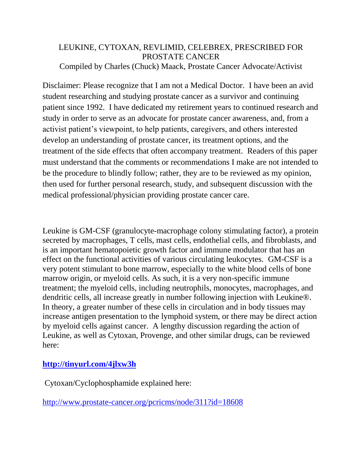## LEUKINE, CYTOXAN, REVLIMID, CELEBREX, PRESCRIBED FOR PROSTATE CANCER Compiled by Charles (Chuck) Maack, Prostate Cancer Advocate/Activist

Disclaimer: Please recognize that I am not a Medical Doctor. I have been an avid student researching and studying prostate cancer as a survivor and continuing patient since 1992. I have dedicated my retirement years to continued research and study in order to serve as an advocate for prostate cancer awareness, and, from a activist patient's viewpoint, to help patients, caregivers, and others interested develop an understanding of prostate cancer, its treatment options, and the treatment of the side effects that often accompany treatment. Readers of this paper must understand that the comments or recommendations I make are not intended to be the procedure to blindly follow; rather, they are to be reviewed as my opinion, then used for further personal research, study, and subsequent discussion with the medical professional/physician providing prostate cancer care.

Leukine is GM-CSF (granulocyte-macrophage colony stimulating factor), a protein secreted by macrophages, T cells, mast cells, endothelial cells, and fibroblasts, and is an important hematopoietic growth factor and immune modulator that has an effect on the functional activities of various circulating leukocytes. GM-CSF is a very potent stimulant to bone marrow, especially to the white blood cells of bone marrow origin, or myeloid cells. As such, it is a very non-specific immune treatment; the myeloid cells, including neutrophils, monocytes, macrophages, and dendritic cells, all increase greatly in number following injection with Leukine®. In theory, a greater number of these cells in circulation and in body tissues may increase antigen presentation to the lymphoid system, or there may be direct action by myeloid cells against cancer. A lengthy discussion regarding the action of Leukine, as well as Cytoxan, Provenge, and other similar drugs, can be reviewed here:

## **<http://tinyurl.com/4jlxw3h>**

Cytoxan/Cyclophosphamide explained here:

<http://www.prostate-cancer.org/pcricms/node/311?id=18608>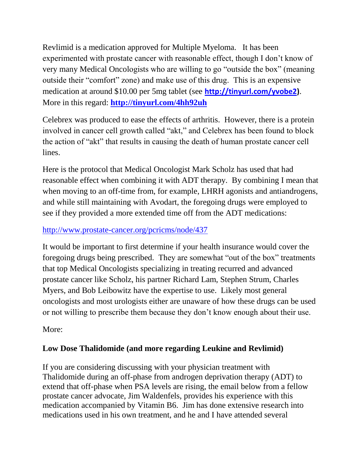Revlimid is a medication approved for Multiple Myeloma. It has been experimented with prostate cancer with reasonable effect, though I don't know of very many Medical Oncologists who are willing to go "outside the box" (meaning outside their "comfort" zone) and make use of this drug. This is an expensive medication at around \$10.00 per 5mg tablet (see **[http://tinyurl.com/yvobe2\)](http://tinyurl.com/yvobe2)**. More in this regard: **<http://tinyurl.com/4hh92uh>**

Celebrex was produced to ease the effects of arthritis. However, there is a protein involved in cancer cell growth called "akt," and Celebrex has been found to block the action of "akt" that results in causing the death of human prostate cancer cell lines.

Here is the protocol that Medical Oncologist Mark Scholz has used that had reasonable effect when combining it with ADT therapy. By combining I mean that when moving to an off-time from, for example, LHRH agonists and antiandrogens, and while still maintaining with Avodart, the foregoing drugs were employed to see if they provided a more extended time off from the ADT medications:

## <http://www.prostate-cancer.org/pcricms/node/437>

It would be important to first determine if your health insurance would cover the foregoing drugs being prescribed. They are somewhat "out of the box" treatments that top Medical Oncologists specializing in treating recurred and advanced prostate cancer like Scholz, his partner Richard Lam, Stephen Strum, Charles Myers, and Bob Leibowitz have the expertise to use. Likely most general oncologists and most urologists either are unaware of how these drugs can be used or not willing to prescribe them because they don't know enough about their use.

More:

## **Low Dose Thalidomide (and more regarding Leukine and Revlimid)**

If you are considering discussing with your physician treatment with Thalidomide during an off-phase from androgen deprivation therapy (ADT) to extend that off-phase when PSA levels are rising, the email below from a fellow prostate cancer advocate, Jim Waldenfels, provides his experience with this medication accompanied by Vitamin B6. Jim has done extensive research into medications used in his own treatment, and he and I have attended several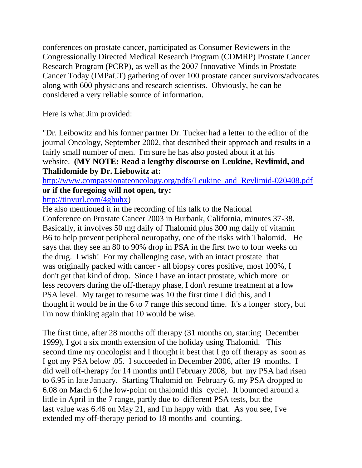conferences on prostate cancer, participated as Consumer Reviewers in the Congressionally Directed Medical Research Program (CDMRP) Prostate Cancer Research Program (PCRP), as well as the 2007 Innovative Minds in Prostate Cancer Today (IMPaCT) gathering of over 100 prostate cancer survivors/advocates along with 600 physicians and research scientists. Obviously, he can be considered a very reliable source of information.

Here is what Jim provided:

"Dr. Leibowitz and his former partner Dr. Tucker had a letter to the editor of the journal Oncology, September 2002, that described their approach and results in a fairly small number of men. I'm sure he has also posted about it at his website. **(MY NOTE: Read a lengthy discourse on Leukine, Revlimid, and Thalidomide by Dr. Liebowitz at:**

[http://www.compassionateoncology.org/pdfs/Leukine\\_and\\_Revlimid-020408.pdf](http://www.compassionateoncology.org/pdfs/Leukine_and_Revlimid-020408.pdf) **or if the foregoing will not open, try:**

[http://tinyurl.com/4ghuhx\)](http://tinyurl.com/4ghuhx)

He also mentioned it in the recording of his talk to the National Conference on Prostate Cancer 2003 in Burbank, California, minutes 37-38. Basically, it involves 50 mg daily of Thalomid plus 300 mg daily of vitamin B6 to help prevent peripheral neuropathy, one of the risks with Thalomid. He says that they see an 80 to 90% drop in PSA in the first two to four weeks on the drug. I wish! For my challenging case, with an intact prostate that was originally packed with cancer - all biopsy cores positive, most 100%, I don't get that kind of drop. Since I have an intact prostate, which more or less recovers during the off-therapy phase, I don't resume treatment at a low PSA level. My target to resume was 10 the first time I did this, and I thought it would be in the 6 to 7 range this second time. It's a longer story, but I'm now thinking again that 10 would be wise.

The first time, after 28 months off therapy (31 months on, starting December 1999), I got a six month extension of the holiday using Thalomid. This second time my oncologist and I thought it best that I go off therapy as soon as I got my PSA below .05. I succeeded in December 2006, after 19 months. I did well off-therapy for 14 months until February 2008, but my PSA had risen to 6.95 in late January. Starting Thalomid on February 6, my PSA dropped to 6.08 on March 6 (the low-point on thalomid this cycle). It bounced around a little in April in the 7 range, partly due to different PSA tests, but the last value was 6.46 on May 21, and I'm happy with that. As you see, I've extended my off-therapy period to 18 months and counting.